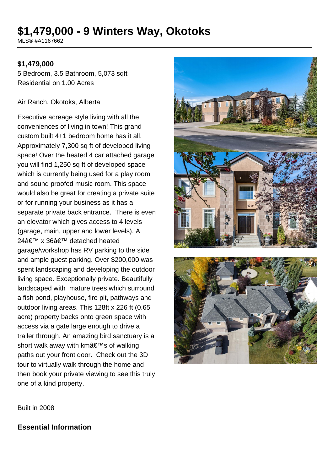# **\$1,479,000 - 9 Winters Way, Okotoks**

MLS® #A1167662

#### **\$1,479,000**

5 Bedroom, 3.5 Bathroom, 5,073 sqft Residential on 1.00 Acres

#### Air Ranch, Okotoks, Alberta

Executive acreage style living with all the conveniences of living in town! This grand custom built 4+1 bedroom home has it all. Approximately 7,300 sq ft of developed living space! Over the heated 4 car attached garage you will find 1,250 sq ft of developed space which is currently being used for a play room and sound proofed music room. This space would also be great for creating a private suite or for running your business as it has a separate private back entrance. There is even an elevator which gives access to 4 levels (garage, main, upper and lower levels). A 24' x 36' detached heated garage/workshop has RV parking to the side and ample guest parking. Over \$200,000 was spent landscaping and developing the outdoor living space. Exceptionally private. Beautifully landscaped with mature trees which surround a fish pond, playhouse, fire pit, pathways and outdoor living areas. This 128ft x 226 ft (0.65 acre) property backs onto green space with access via a gate large enough to drive a trailer through. An amazing bird sanctuary is a short walk away with km's of walking paths out your front door. Check out the 3D tour to virtually walk through the home and then book your private viewing to see this truly one of a kind property.



Built in 2008

#### **Essential Information**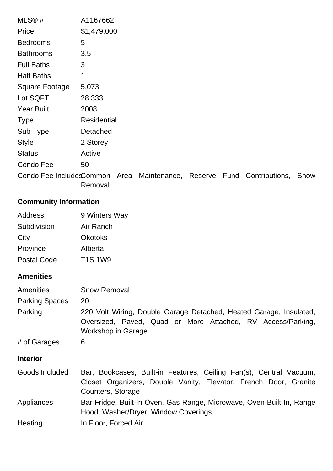| A1167662           |  |  |                                                                        |
|--------------------|--|--|------------------------------------------------------------------------|
| \$1,479,000        |  |  |                                                                        |
| 5                  |  |  |                                                                        |
| 3.5                |  |  |                                                                        |
| 3                  |  |  |                                                                        |
| 1                  |  |  |                                                                        |
| 5,073              |  |  |                                                                        |
| 28,333             |  |  |                                                                        |
| 2008               |  |  |                                                                        |
| <b>Residential</b> |  |  |                                                                        |
| Detached           |  |  |                                                                        |
| 2 Storey           |  |  |                                                                        |
| Active             |  |  |                                                                        |
| 50                 |  |  |                                                                        |
|                    |  |  | Snow                                                                   |
|                    |  |  | Condo Fee IncludesCommon Area Maintenance, Reserve Fund Contributions, |

Removal

# **Community Information**

| Address            | 9 Winters Way  |
|--------------------|----------------|
| Subdivision        | Air Ranch      |
| City               | <b>Okotoks</b> |
| Province           | Alberta        |
| <b>Postal Code</b> | <b>T1S1W9</b>  |

#### **Amenities**

| Amenities<br><b>Parking Spaces</b><br>Parking | <b>Snow Removal</b><br>20<br>220 Volt Wiring, Double Garage Detached, Heated Garage, Insulated,<br>Oversized, Paved, Quad or More Attached, RV Access/Parking,<br><b>Workshop in Garage</b> |
|-----------------------------------------------|---------------------------------------------------------------------------------------------------------------------------------------------------------------------------------------------|
| # of Garages                                  | 6                                                                                                                                                                                           |
| <b>Interior</b>                               |                                                                                                                                                                                             |
| Goods Included                                | Bar, Bookcases, Built-in Features, Ceiling Fan(s), Central Vacuum,<br>Closet Organizers, Double Vanity, Elevator, French Door, Granite<br>Counters, Storage                                 |
| Appliances                                    | Bar Fridge, Built-In Oven, Gas Range, Microwave, Oven-Built-In, Range<br>Hood, Washer/Dryer, Window Coverings                                                                               |
| Heating                                       | In Floor, Forced Air                                                                                                                                                                        |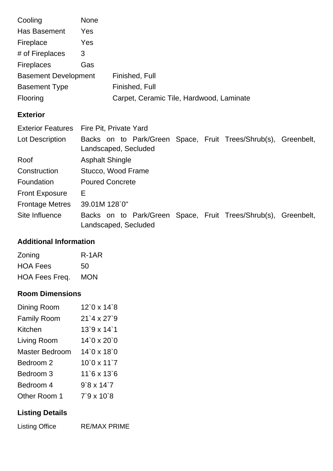| Cooling                     | <b>None</b> |                                          |
|-----------------------------|-------------|------------------------------------------|
| Has Basement                | Yes         |                                          |
| Fireplace                   | Yes         |                                          |
| # of Fireplaces             | 3           |                                          |
| <b>Fireplaces</b>           | Gas         |                                          |
| <b>Basement Development</b> |             | Finished, Full                           |
| <b>Basement Type</b>        |             | Finished, Full                           |
| Flooring                    |             | Carpet, Ceramic Tile, Hardwood, Laminate |

### **Exterior**

|                        | Exterior Features Fire Pit, Private Yard                                               |  |  |  |  |
|------------------------|----------------------------------------------------------------------------------------|--|--|--|--|
| Lot Description        | Backs on to Park/Green Space, Fruit Trees/Shrub(s), Greenbelt,                         |  |  |  |  |
|                        | Landscaped, Secluded                                                                   |  |  |  |  |
| Roof                   | <b>Asphalt Shingle</b>                                                                 |  |  |  |  |
| Construction           | Stucco, Wood Frame                                                                     |  |  |  |  |
| Foundation             | <b>Poured Concrete</b>                                                                 |  |  |  |  |
| <b>Front Exposure</b>  | Е                                                                                      |  |  |  |  |
| <b>Frontage Metres</b> | 39.01M 128`0"                                                                          |  |  |  |  |
| Site Influence         | Backs on to Park/Green Space, Fruit Trees/Shrub(s), Greenbelt,<br>Landscaped, Secluded |  |  |  |  |

## **Additional Information**

| Zoning          | R-1AR      |
|-----------------|------------|
| <b>HOA Fees</b> | 50         |
| HOA Fees Freq.  | <b>MON</b> |

## **Room Dimensions**

| Dining Room        | $12^{\circ}$ 0 x 14 $^{\circ}$ 8 |
|--------------------|----------------------------------|
| <b>Family Room</b> | $21'4 \times 27'9$               |
| Kitchen            | $13.9 \times 14.1$               |
| Living Room        | $14'0 \times 20'0$               |
| Master Bedroom     | $14'0 \times 18'0$               |
| Bedroom 2          | $10'0 \times 11'7$               |
| Bedroom 3          | $11^6$ x $13^6$                  |
| Bedroom 4          | $9'8 \times 14'7$                |
| Other Room 1       | $7'9 \times 10'8$                |

# **Listing Details**

Listing Office RE/MAX PRIME